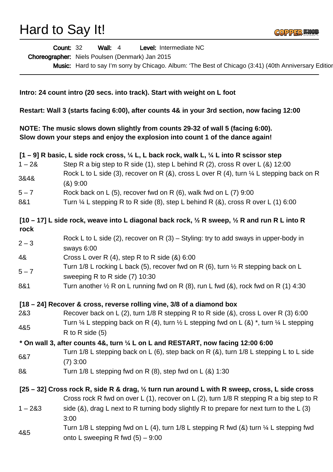Hard to Say It!



|                                                                                                                                                                                                                                                                | Level: Intermediate NC<br><b>Wall: 4</b><br><b>Count: 32</b>                                                                                                                                        |
|----------------------------------------------------------------------------------------------------------------------------------------------------------------------------------------------------------------------------------------------------------------|-----------------------------------------------------------------------------------------------------------------------------------------------------------------------------------------------------|
|                                                                                                                                                                                                                                                                | Choreographer: Niels Poulsen (Denmark) Jan 2015                                                                                                                                                     |
|                                                                                                                                                                                                                                                                | Music: Hard to say I'm sorry by Chicago. Album: 'The Best of Chicago (3:41) (40th Anniversary Edition                                                                                               |
|                                                                                                                                                                                                                                                                | Intro: 24 count intro (20 secs. into track). Start with weight on L foot                                                                                                                            |
| Restart: Wall 3 (starts facing 6:00), after counts 4& in your 3rd section, now facing 12:00<br>NOTE: The music slows down slightly from counts 29-32 of wall 5 (facing 6:00).<br>Slow down your steps and enjoy the explosion into count 1 of the dance again! |                                                                                                                                                                                                     |
|                                                                                                                                                                                                                                                                |                                                                                                                                                                                                     |
| $1 - 28$                                                                                                                                                                                                                                                       | Step R a big step to R side (1), step L behind R (2), cross R over L (&) 12:00                                                                                                                      |
| 3&4&                                                                                                                                                                                                                                                           | Rock L to L side (3), recover on R (&), cross L over R (4), turn $\frac{1}{4}$ L stepping back on R<br>(8)9:00                                                                                      |
| $5 - 7$                                                                                                                                                                                                                                                        | Rock back on L $(5)$ , recover fwd on R $(6)$ , walk fwd on L $(7)$ 9:00                                                                                                                            |
| 8&1                                                                                                                                                                                                                                                            | Turn $\frac{1}{4}$ L stepping R to R side (8), step L behind R (8), cross R over L (1) 6:00                                                                                                         |
| rock                                                                                                                                                                                                                                                           | [10 – 17] L side rock, weave into L diagonal back rock, $\frac{1}{2}$ R sweep, $\frac{1}{2}$ R and run R L into R                                                                                   |
| $2 - 3$                                                                                                                                                                                                                                                        | Rock L to L side (2), recover on R (3) – Styling: try to add sways in upper-body in<br>sways 6:00                                                                                                   |
| 4&                                                                                                                                                                                                                                                             | Cross L over R $(4)$ , step R to R side $(8)$ 6:00                                                                                                                                                  |
|                                                                                                                                                                                                                                                                | Turn 1/8 L rocking L back (5), recover fwd on R (6), turn $\frac{1}{2}$ R stepping back on L                                                                                                        |
| $5 - 7$                                                                                                                                                                                                                                                        | sweeping R to R side (7) 10:30                                                                                                                                                                      |
| 8&1                                                                                                                                                                                                                                                            | Turn another $\frac{1}{2}$ R on L running fwd on R (8), run L fwd (&), rock fwd on R (1) 4:30                                                                                                       |
|                                                                                                                                                                                                                                                                | [18 – 24] Recover & cross, reverse rolling vine, 3/8 of a diamond box                                                                                                                               |
| 2&3                                                                                                                                                                                                                                                            | Recover back on L (2), turn 1/8 R stepping R to R side (&), cross L over R (3) 6:00                                                                                                                 |
| 4&5                                                                                                                                                                                                                                                            | Turn $\frac{1}{4}$ L stepping back on R (4), turn $\frac{1}{2}$ L stepping fwd on L (&) *, turn $\frac{1}{4}$ L stepping<br>R to R side $(5)$                                                       |
|                                                                                                                                                                                                                                                                | $*$ On wall 3, after counts 4&, turn $\frac{1}{4}$ L on L and RESTART, now facing 12:00 6:00                                                                                                        |
| 6&7                                                                                                                                                                                                                                                            | Turn 1/8 L stepping back on L (6), step back on R (8), turn 1/8 L stepping L to L side<br>$(7)$ 3:00                                                                                                |
| 8&                                                                                                                                                                                                                                                             | Turn $1/8$ L stepping fwd on R $(8)$ , step fwd on L $(8)$ 1:30                                                                                                                                     |
|                                                                                                                                                                                                                                                                | [25 – 32] Cross rock R, side R & drag, $\frac{1}{2}$ turn run around L with R sweep, cross, L side cross<br>Cross rock R fwd on over L (1), recover on L (2), turn 1/8 R stepping R a big step to R |
| $1 - 283$                                                                                                                                                                                                                                                      | side (&), drag L next to R turning body slightly R to prepare for next turn to the L (3)<br>3:00                                                                                                    |
| 4&5                                                                                                                                                                                                                                                            | Turn 1/8 L stepping fwd on L (4), turn 1/8 L stepping R fwd (&) turn 1/4 L stepping fwd<br>onto L sweeping R fwd $(5) - 9:00$                                                                       |